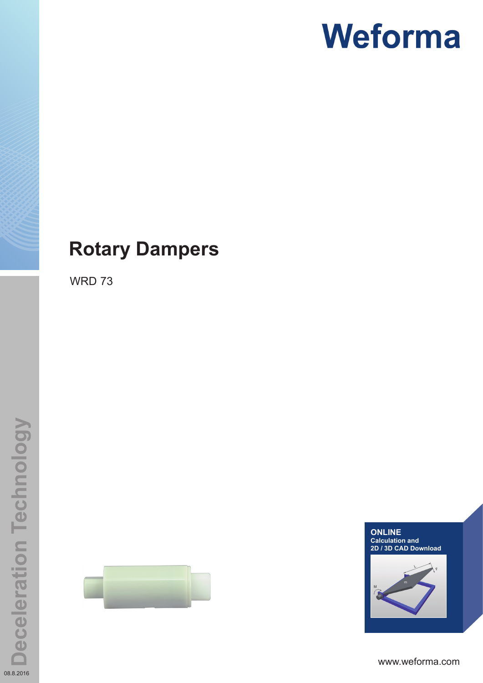# **Weforma**

# **Rotary Dampers**

WRD 73





www.weforma.com

08.8.2016

**Deceleration Technology**

**Deceleration Technology**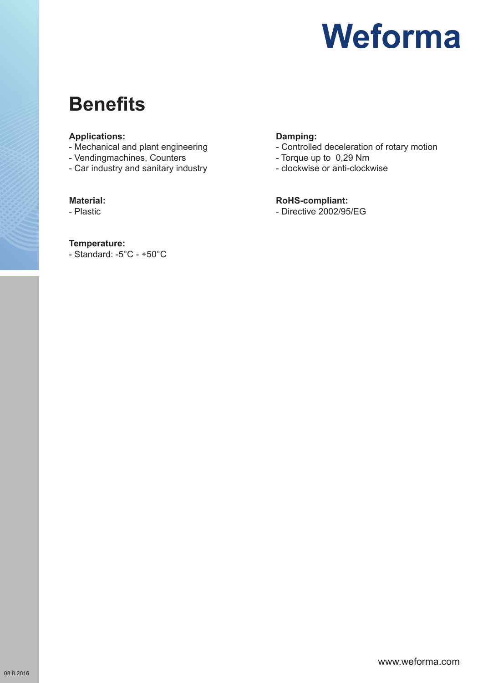

# **Benefits**

#### **Applications:**

- Mechanical and plant engineering
- Vendingmachines, Counters
- Car industry and sanitary industry

#### **Material:**

- Plastic

#### **Temperature:**

- Standard: -5°C - +50°C

### **Damping:**

- Controlled deceleration of rotary motion
- Torque up to 0,29 Nm
- clockwise or anti-clockwise

#### **RoHS-compliant:**

- Directive 2002/95/EG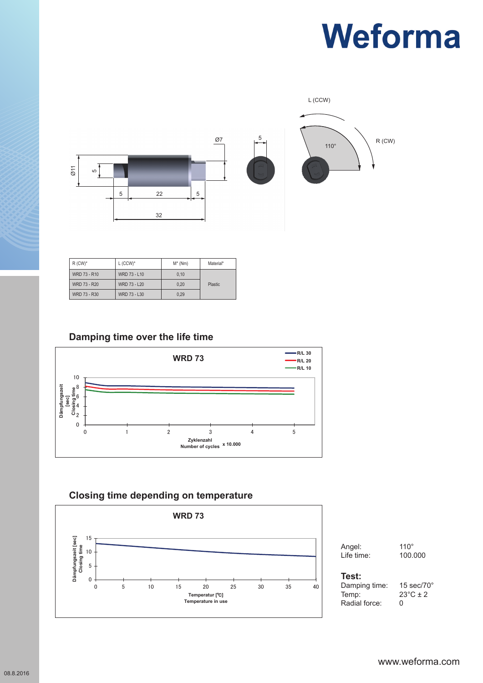# **Weforma**



| $R$ (CW) <sup>*</sup> | $L$ (CCW) <sup>*</sup> | $M^*$ (Nm) | Material*      |
|-----------------------|------------------------|------------|----------------|
| WRD 73 - R10          | WRD 73 - L10           | 0.10       |                |
| WRD 73 - R20          | WRD 73 - L20           | 0.20       | <b>Plastic</b> |
| WRD 73 - R30          | WRD 73 - L30           | 0.29       |                |

## **Damping time over the life time**



## **WRD 73 Closing time depending on temperature**



Angel: 110°<br>
Life time: 100.000 **Life time: 100.000** 

#### **Test:**  $\blacksquare$

Temp:  $23^{\circ}C \pm 2$ Radial force: 0 **Damping time: 15 sec/70 Dämpfungszeit / Closing Time: 15 sec/70°**

Damping time: 15 sec/70°